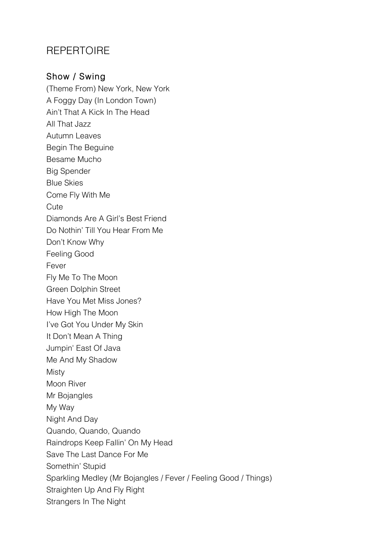## **REPERTOIRE**

## Show / Swing

(Theme From) New York, New York A Foggy Day (In London Town) Ain't That A Kick In The Head All That Jazz Autumn Leaves Begin The Beguine Besame Mucho Big Spender Blue Skies Come Fly With Me **Cute** Diamonds Are A Girl's Best Friend Do Nothin' Till You Hear From Me Don't Know Why Feeling Good Fever Fly Me To The Moon Green Dolphin Street Have You Met Miss Jones? How High The Moon I've Got You Under My Skin It Don't Mean A Thing Jumpin' East Of Java Me And My Shadow **Misty** Moon River Mr Bojangles My Way Night And Day Quando, Quando, Quando Raindrops Keep Fallin' On My Head Save The Last Dance For Me Somethin' Stupid Sparkling Medley (Mr Bojangles / Fever / Feeling Good / Things) Straighten Up And Fly Right Strangers In The Night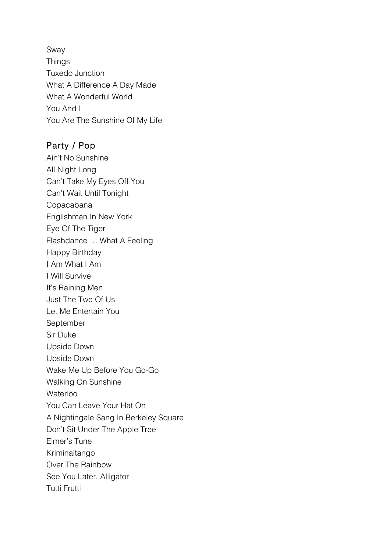Sway **Things** Tuxedo Junction What A Difference A Day Made What A Wonderful World You And I You Are The Sunshine Of My Life

## Party / Pop

Ain't No Sunshine All Night Long Can't Take My Eyes Off You Can't Wait Until Tonight Copacabana Englishman In New York Eye Of The Tiger Flashdance … What A Feeling Happy Birthday I Am What I Am I Will Survive It's Raining Men Just The Two Of Us Let Me Entertain You September Sir Duke Upside Down Upside Down Wake Me Up Before You Go-Go Walking On Sunshine **Waterloo** You Can Leave Your Hat On A Nightingale Sang In Berkeley Square Don't Sit Under The Apple Tree Elmer's Tune Kriminaltango Over The Rainbow See You Later, Alligator Tutti Frutti